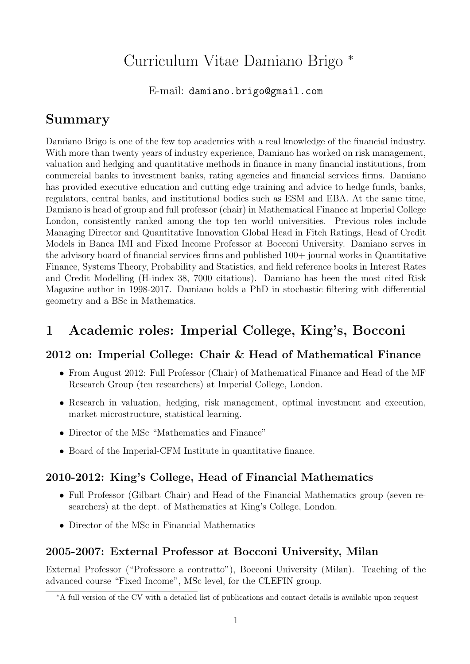# Curriculum Vitae Damiano Brigo <sup>∗</sup>

E-mail: damiano.brigo@gmail.com

## Summary

Damiano Brigo is one of the few top academics with a real knowledge of the financial industry. With more than twenty years of industry experience, Damiano has worked on risk management, valuation and hedging and quantitative methods in finance in many financial institutions, from commercial banks to investment banks, rating agencies and financial services firms. Damiano has provided executive education and cutting edge training and advice to hedge funds, banks, regulators, central banks, and institutional bodies such as ESM and EBA. At the same time, Damiano is head of group and full professor (chair) in Mathematical Finance at Imperial College London, consistently ranked among the top ten world universities. Previous roles include Managing Director and Quantitative Innovation Global Head in Fitch Ratings, Head of Credit Models in Banca IMI and Fixed Income Professor at Bocconi University. Damiano serves in the advisory board of financial services firms and published 100+ journal works in Quantitative Finance, Systems Theory, Probability and Statistics, and field reference books in Interest Rates and Credit Modelling (H-index 38, 7000 citations). Damiano has been the most cited Risk Magazine author in 1998-2017. Damiano holds a PhD in stochastic filtering with differential geometry and a BSc in Mathematics.

# 1 Academic roles: Imperial College, King's, Bocconi

#### 2012 on: Imperial College: Chair & Head of Mathematical Finance

- From August 2012: Full Professor (Chair) of Mathematical Finance and Head of the MF Research Group (ten researchers) at Imperial College, London.
- Research in valuation, hedging, risk management, optimal investment and execution, market microstructure, statistical learning.
- Director of the MSc "Mathematics and Finance"
- Board of the Imperial-CFM Institute in quantitative finance.

#### 2010-2012: King's College, Head of Financial Mathematics

- Full Professor (Gilbart Chair) and Head of the Financial Mathematics group (seven researchers) at the dept. of Mathematics at King's College, London.
- Director of the MSc in Financial Mathematics

#### 2005-2007: External Professor at Bocconi University, Milan

External Professor ("Professore a contratto"), Bocconi University (Milan). Teaching of the advanced course "Fixed Income", MSc level, for the CLEFIN group.

<sup>∗</sup>A full version of the CV with a detailed list of publications and contact details is available upon request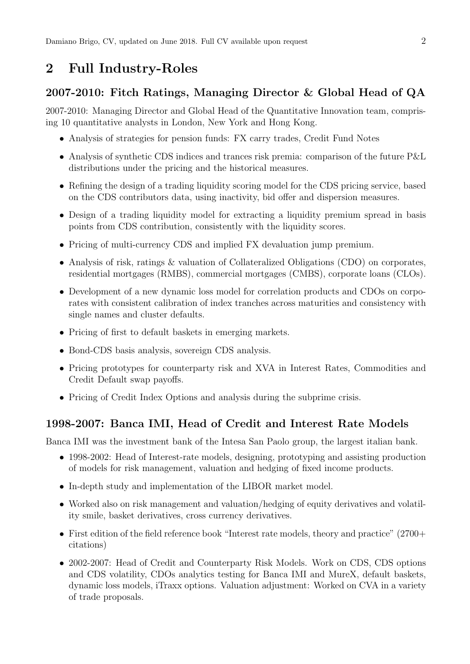## 2 Full Industry-Roles

#### 2007-2010: Fitch Ratings, Managing Director & Global Head of QA

2007-2010: Managing Director and Global Head of the Quantitative Innovation team, comprising 10 quantitative analysts in London, New York and Hong Kong.

- Analysis of strategies for pension funds: FX carry trades, Credit Fund Notes
- Analysis of synthetic CDS indices and trances risk premia: comparison of the future P&L distributions under the pricing and the historical measures.
- Refining the design of a trading liquidity scoring model for the CDS pricing service, based on the CDS contributors data, using inactivity, bid offer and dispersion measures.
- Design of a trading liquidity model for extracting a liquidity premium spread in basis points from CDS contribution, consistently with the liquidity scores.
- Pricing of multi-currency CDS and implied FX devaluation jump premium.
- Analysis of risk, ratings & valuation of Collateralized Obligations (CDO) on corporates, residential mortgages (RMBS), commercial mortgages (CMBS), corporate loans (CLOs).
- Development of a new dynamic loss model for correlation products and CDOs on corporates with consistent calibration of index tranches across maturities and consistency with single names and cluster defaults.
- Pricing of first to default baskets in emerging markets.
- Bond-CDS basis analysis, sovereign CDS analysis.
- Pricing prototypes for counterparty risk and XVA in Interest Rates, Commodities and Credit Default swap payoffs.
- Pricing of Credit Index Options and analysis during the subprime crisis.

#### 1998-2007: Banca IMI, Head of Credit and Interest Rate Models

Banca IMI was the investment bank of the Intesa San Paolo group, the largest italian bank.

- 1998-2002: Head of Interest-rate models, designing, prototyping and assisting production of models for risk management, valuation and hedging of fixed income products.
- In-depth study and implementation of the LIBOR market model.
- Worked also on risk management and valuation/hedging of equity derivatives and volatility smile, basket derivatives, cross currency derivatives.
- First edition of the field reference book "Interest rate models, theory and practice" (2700+) citations)
- 2002-2007: Head of Credit and Counterparty Risk Models. Work on CDS, CDS options and CDS volatility, CDOs analytics testing for Banca IMI and MureX, default baskets, dynamic loss models, iTraxx options. Valuation adjustment: Worked on CVA in a variety of trade proposals.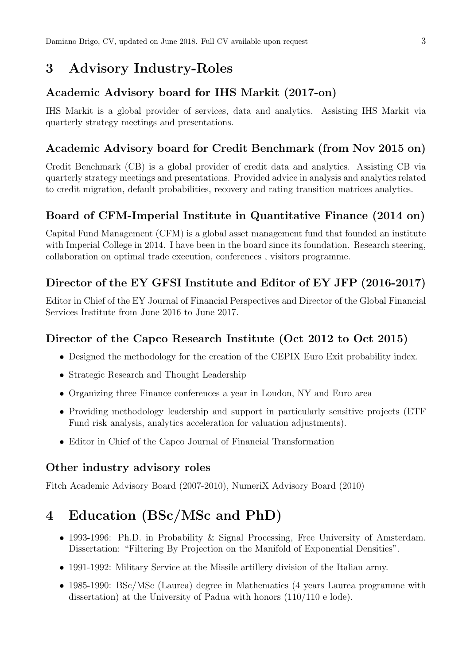# 3 Advisory Industry-Roles

### Academic Advisory board for IHS Markit (2017-on)

IHS Markit is a global provider of services, data and analytics. Assisting IHS Markit via quarterly strategy meetings and presentations.

### Academic Advisory board for Credit Benchmark (from Nov 2015 on)

Credit Benchmark (CB) is a global provider of credit data and analytics. Assisting CB via quarterly strategy meetings and presentations. Provided advice in analysis and analytics related to credit migration, default probabilities, recovery and rating transition matrices analytics.

## Board of CFM-Imperial Institute in Quantitative Finance (2014 on)

Capital Fund Management (CFM) is a global asset management fund that founded an institute with Imperial College in 2014. I have been in the board since its foundation. Research steering, collaboration on optimal trade execution, conferences , visitors programme.

## Director of the EY GFSI Institute and Editor of EY JFP (2016-2017)

Editor in Chief of the EY Journal of Financial Perspectives and Director of the Global Financial Services Institute from June 2016 to June 2017.

#### Director of the Capco Research Institute (Oct 2012 to Oct 2015)

- Designed the methodology for the creation of the CEPIX Euro Exit probability index.
- Strategic Research and Thought Leadership
- Organizing three Finance conferences a year in London, NY and Euro area
- Providing methodology leadership and support in particularly sensitive projects (ETF Fund risk analysis, analytics acceleration for valuation adjustments).
- Editor in Chief of the Capco Journal of Financial Transformation

#### Other industry advisory roles

Fitch Academic Advisory Board (2007-2010), NumeriX Advisory Board (2010)

# 4 Education (BSc/MSc and PhD)

- 1993-1996: Ph.D. in Probability & Signal Processing, Free University of Amsterdam. Dissertation: "Filtering By Projection on the Manifold of Exponential Densities".
- 1991-1992: Military Service at the Missile artillery division of the Italian army.
- 1985-1990: BSc/MSc (Laurea) degree in Mathematics (4 years Laurea programme with dissertation) at the University of Padua with honors (110/110 e lode).